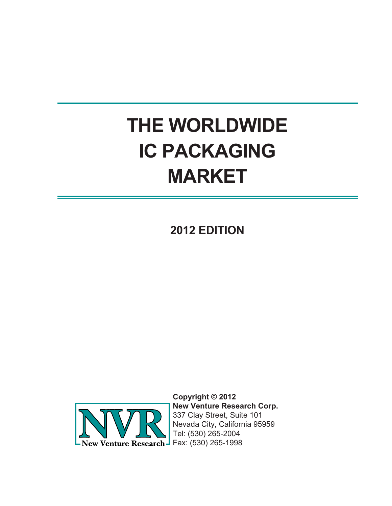# **THE WORLDWIDE<br>IC PACKAGING MARKET MARKET**

**2012 EDITION**



**Copyright © 2012 New Venture Research Corp.** 337 Clay Street, Suite 101 Nevada City, California 95959 Tel: (530) 265-2004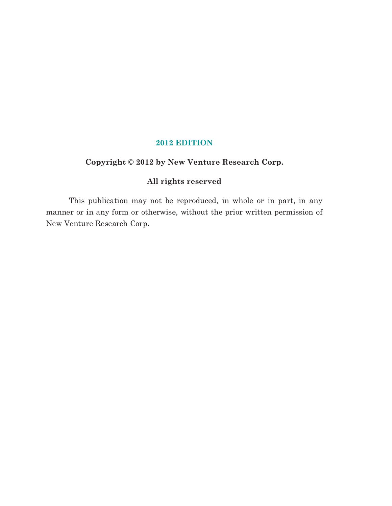#### **2012 EDITION**

#### Copyright © 2012 by New Venture Research Corp.

#### All rights reserved

This publication may not be reproduced, in whole or in part, in any manner or in any form or otherwise, without the prior written permission of New Venture Research Corp.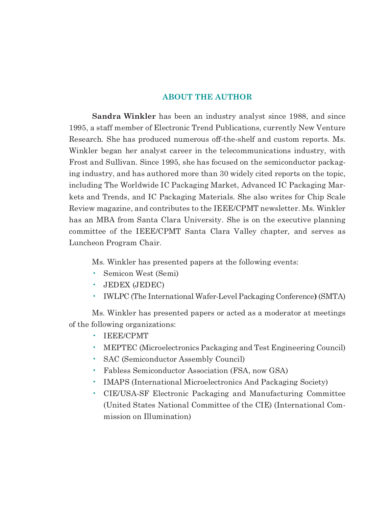#### **ABOUT THE AUTHOR**

**Sandra Winkler** has been an industry analyst since 1988, and since 1995, a staff member of Electronic Trend Publications, currently New Venture Research. She has produced numerous off-the-shelf and custom reports. Ms. Winkler began her analyst career in the telecommunications industry, with Frost and Sullivan. Since 1995, she has focused on the semiconductor packaging industry, and has authored more than 30 widely cited reports on the topic, including The Worldwide IC Packaging Market, Advanced IC Packaging Markets and Trends, and IC Packaging Materials. She also writes for Chip Scale Review magazine, and contributes to the IEEE/CPMT newsletter. Ms. Winkler has an MBA from Santa Clara University. She is on the executive planning committee of the IEEE/CPMT Santa Clara Valley chapter, and serves as Luncheon Program Chair.

Ms. Winkler has presented papers at the following events:

- Semicon West (Semi)
- JEDEX (JEDEC)
- IWLPC (The International Wafer-Level Packaging Conference**+**(SMTA)

Ms. Winkler has presented papers or acted as a moderator at meetings of the following organizations:

- IEEE/CPMT
- MEPTEC (Microelectronics Packaging and Test Engineering Council)
- SAC (Semiconductor Assembly Council)
- Fabless Semiconductor Association (FSA, now GSA)
- IMAPS (International Microelectronics And Packaging Society)
- CIE/USA-SF Electronic Packaging and Manufacturing Committee (United States National Committee of the CIE) (International Commission on Illumination)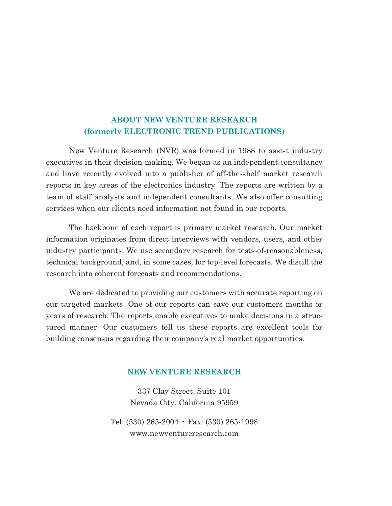# **ABOUT NEW VENTURE RESEARCH (formerly ELECTRONIC TREND PUBLICATIONS)**

New Venture Research (NVR) was formed in 1988 to assist industry executives in their decision making. We began as an independent consultancy and have recently evolved into a publisher of off-the-shelf market research reports in key areas of the electronics industry. The reports are written by a team of staff analysts and independent consultants. We also offer consulting services when our clients need information not found in our reports.

The backbone of each report is primary market research. Our market information originates from direct interviews with vendors, users, and other industry participants. We use secondary research for tests-of-reasonableness, technical background, and, in some cases, for top-level forecasts. We distill the research into coherent forecasts and recommendations.

We are dedicated to providing our customers with accurate reporting on our targeted markets. One of our reports can save our customers months or years of research. The reports enable executives to make decisions in a structured manner. Our customers tell us these reports are excellent tools for building consensus regarding their company's real market opportunities.

#### **NEW VENTURE RESEARCH**

337 Clay Street, Suite 101 Nevada City, California 95959

Tel: (530) 265-2004 • Fax: (530) 265-1998 www.newventureresearch.com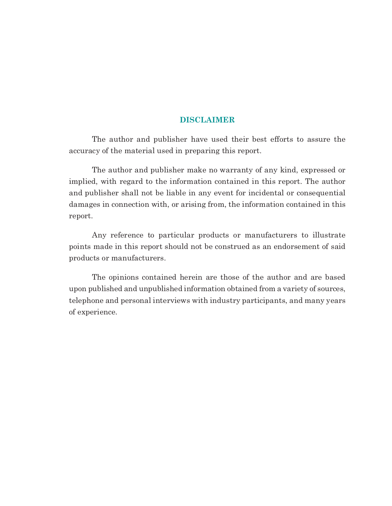#### $DISCLAIMER$

The author and publisher have used their best efforts to assure the accuracy of the material used in preparing this report.

The author and publisher make no warranty of any kind, expressed or implied, with regard to the information contained in this report. The author and publisher shall not be liable in any event for incidental or consequential damages in connection with, or arising from, the information contained in this report.

Any reference to particular products or manufacturers to illustrate points made in this report should not be construed as an endorsement of said products or manufacturers.

The opinions contained herein are those of the author and are based upon published and unpublished information obtained from a variety of sources, telephone and personal interviews with industry participants, and many years of experience.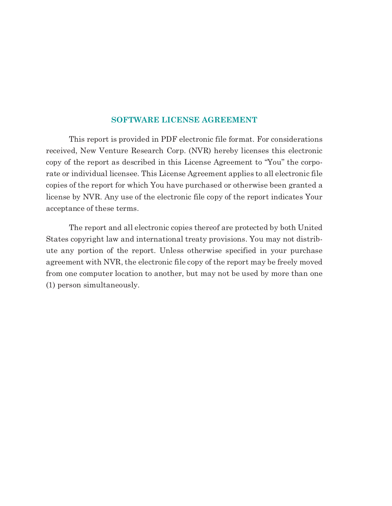#### **SOFTWARE LICENSE AGREEMENT**

This report is provided in PDF electronic file format. For considerations received, New Venture Research Corp. (NVR) hereby licenses this electronic copy of the report as described in this License Agreement to "You" the corporate or individual licensee. This License Agreement applies to all electronic file copies of the report for which You have purchased or otherwise been granted a license by NVR. Any use of the electronic file copy of the report indicates Your acceptance of these terms.

The report and all electronic copies thereof are protected by both United States copyright law and international treaty provisions. You may not distribute any portion of the report. Unless otherwise specified in your purchase agreement with NVR, the electronic file copy of the report may be freely moved from one computer location to another, but may not be used by more than one (1) person simultaneously.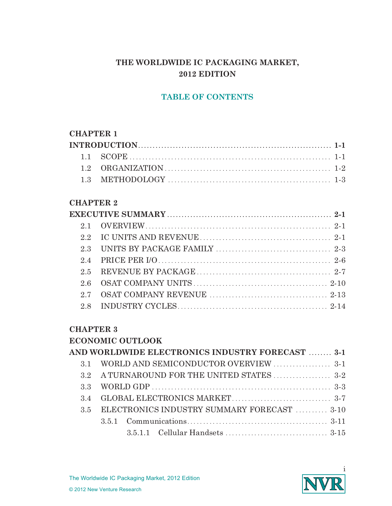# THE WORLDWIDE IC PACKAGING MARKET. **2012 EDITION**

## **TABLE OF CONTENTS**

#### **CHAPTER 1**

# **CHAPTER 2**

| 2.2 IC UNITS AND REVENUE $\ldots$ $\ldots$ $\ldots$ $\ldots$ $\ldots$ $\ldots$ $\ldots$ $\ldots$ $\ldots$ 2.1                                                                                                                                                                                                                     |  |
|-----------------------------------------------------------------------------------------------------------------------------------------------------------------------------------------------------------------------------------------------------------------------------------------------------------------------------------|--|
|                                                                                                                                                                                                                                                                                                                                   |  |
|                                                                                                                                                                                                                                                                                                                                   |  |
|                                                                                                                                                                                                                                                                                                                                   |  |
|                                                                                                                                                                                                                                                                                                                                   |  |
| 2.7 OSAT COMPANY REVENUE $\ldots$ $\ldots$ $\ldots$ $\ldots$ $\ldots$ $\ldots$ $\ldots$ $\ldots$ $\ldots$ $\ldots$ $\ldots$ $\ldots$ $\ldots$ $\ldots$ $\ldots$ $\ldots$ $\ldots$ $\ldots$ $\ldots$ $\ldots$ $\ldots$ $\ldots$ $\ldots$ $\ldots$ $\ldots$ $\ldots$ $\ldots$ $\ldots$ $\ldots$ $\ldots$ $\ldots$ $\ldots$ $\ldots$ |  |
|                                                                                                                                                                                                                                                                                                                                   |  |

# **CHAPTER 3**

|                 | <b>ECONOMIC OUTLOOK</b> |                                                  |  |
|-----------------|-------------------------|--------------------------------------------------|--|
|                 |                         | AND WORLDWIDE ELECTRONICS INDUSTRY FORECAST  3-1 |  |
|                 |                         |                                                  |  |
|                 |                         |                                                  |  |
|                 |                         |                                                  |  |
| 34              |                         |                                                  |  |
| 35 <sub>o</sub> |                         | ELECTRONICS INDUSTRY SUMMARY FORECAST  3-10      |  |
|                 |                         |                                                  |  |
|                 |                         |                                                  |  |
|                 |                         |                                                  |  |

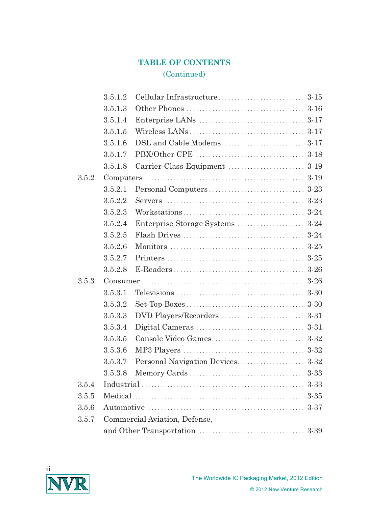|       | 3.5.1.2 |                                                                                     |
|-------|---------|-------------------------------------------------------------------------------------|
|       | 3.5.1.3 |                                                                                     |
|       | 3.5.1.4 | Enterprise LANs $\dots \dots \dots \dots \dots \dots \dots \dots \dots \dots \dots$ |
|       | 3.5.1.5 | Wireless LANs $\dots\dots\dots\dots\dots\dots\dots\dots\dots\dots3-17$              |
|       | 3.5.1.6 |                                                                                     |
|       | 3.5.1.7 |                                                                                     |
|       | 3.5.1.8 |                                                                                     |
| 3.5.2 |         |                                                                                     |
|       | 3.5.2.1 |                                                                                     |
|       | 3.5.2.2 |                                                                                     |
|       | 3.5.2.3 |                                                                                     |
|       | 3.5.2.4 |                                                                                     |
|       | 3.5.2.5 |                                                                                     |
|       | 3.5.2.6 |                                                                                     |
|       | 3.5.2.7 |                                                                                     |
|       | 3.5.2.8 |                                                                                     |
| 3.5.3 |         |                                                                                     |
|       | 3.5.3.1 |                                                                                     |
|       | 3.5.3.2 |                                                                                     |
|       | 3.5.3.3 |                                                                                     |
|       | 3.5.3.4 |                                                                                     |
|       | 3.5.3.5 |                                                                                     |
|       | 3.5.3.6 |                                                                                     |
|       | 3.5.3.7 |                                                                                     |
|       | 3.5.3.8 |                                                                                     |
| 3.5.4 |         |                                                                                     |
| 3.5.5 |         |                                                                                     |
| 3.5.6 |         |                                                                                     |
| 3.5.7 |         | Commercial Aviation, Defense,                                                       |
|       |         |                                                                                     |

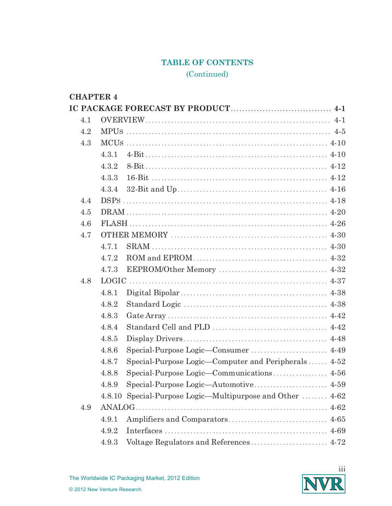| <b>CHAPTER 4</b> |       |                                                           |  |
|------------------|-------|-----------------------------------------------------------|--|
|                  |       |                                                           |  |
| 4.1              |       |                                                           |  |
| 4.2              |       |                                                           |  |
| 4.3              |       |                                                           |  |
|                  | 4.3.1 |                                                           |  |
|                  | 4.3.2 |                                                           |  |
|                  | 4.3.3 |                                                           |  |
|                  | 4.3.4 |                                                           |  |
| 4.4              |       |                                                           |  |
| 4.5              |       |                                                           |  |
| 4.6              |       |                                                           |  |
| 4.7              |       |                                                           |  |
|                  | 4.7.1 |                                                           |  |
|                  | 4.7.2 |                                                           |  |
|                  | 4.7.3 |                                                           |  |
| 4.8              |       |                                                           |  |
|                  | 4.8.1 |                                                           |  |
|                  | 4.8.2 |                                                           |  |
|                  | 4.8.3 |                                                           |  |
|                  | 4.8.4 |                                                           |  |
|                  | 4.8.5 |                                                           |  |
|                  | 4.8.6 |                                                           |  |
|                  | 4.8.7 | Special-Purpose Logic—Computer and Peripherals  4-52      |  |
|                  | 4.8.8 | Special-Purpose Logic-Communications 4-56                 |  |
|                  | 4.8.9 |                                                           |  |
|                  |       | 4.8.10 Special-Purpose Logic—Multipurpose and Other  4-62 |  |
| 4.9              |       |                                                           |  |
|                  | 4.9.1 |                                                           |  |
|                  | 4.9.2 |                                                           |  |
|                  | 4.9.3 | Voltage Regulators and References 4-72                    |  |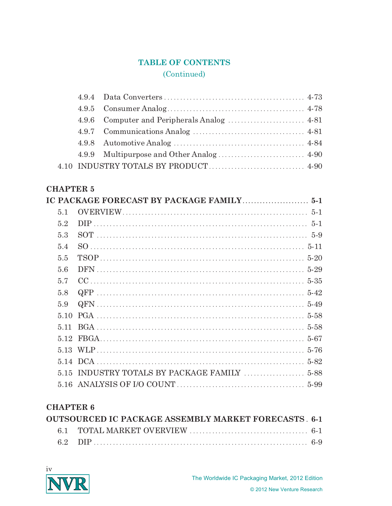# (Continued)

# **CHAPTER 5**

| 5.1  |       |
|------|-------|
| 5.2  | $5-1$ |
| 5.3  |       |
| 5.4  |       |
| 5.5  |       |
| 5.6  |       |
| 5.7  |       |
| 5.8  |       |
| 5.9  |       |
| 5.10 |       |
|      |       |
|      |       |
|      |       |
|      |       |
| 5.15 |       |
|      |       |

# **CHAPTER 6**

| <b>OUTSOURCED IC PACKAGE ASSEMBLY MARKET FORECASTS. 6-1</b> |  |
|-------------------------------------------------------------|--|
|                                                             |  |
|                                                             |  |

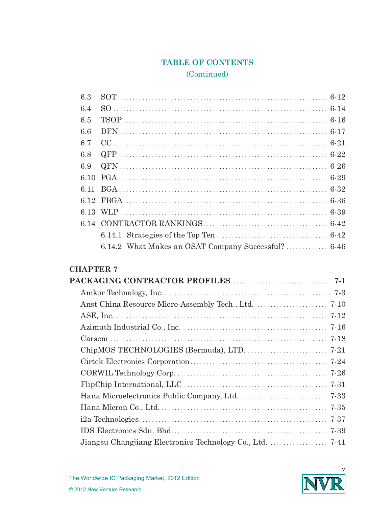# (Continued)

| 6.3 |  |
|-----|--|
| 6.4 |  |
| 6.5 |  |
| 6.6 |  |
| 6.7 |  |
| 6.8 |  |
|     |  |
|     |  |
|     |  |
|     |  |
|     |  |
|     |  |
|     |  |
|     |  |
|     |  |

# **CHAPTER 7**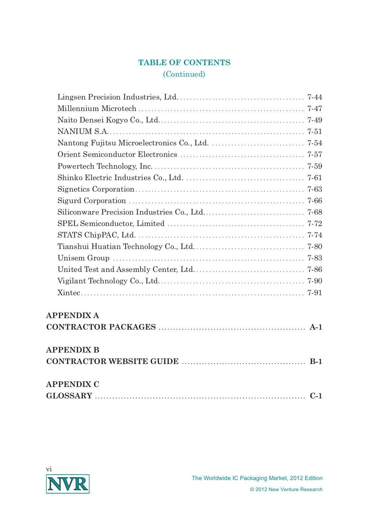| <b>APPENDIX A</b> |  |
|-------------------|--|
|                   |  |
| <b>APPENDIX B</b> |  |
|                   |  |
| <b>APPENDIX C</b> |  |
|                   |  |

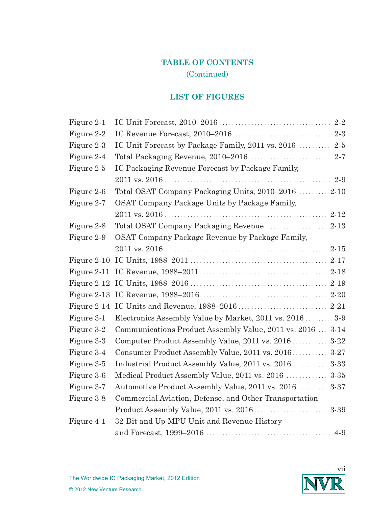(Continued)

#### **LIST OF FIGURES**

| Figure 2-1  |                                                            |
|-------------|------------------------------------------------------------|
| Figure 2-2  |                                                            |
| Figure 2-3  | IC Unit Forecast by Package Family, 2011 vs. 2016  2-5     |
| Figure 2-4  |                                                            |
| Figure 2-5  | IC Packaging Revenue Forecast by Package Family,           |
|             |                                                            |
| Figure 2-6  | Total OSAT Company Packaging Units, 2010–2016  2-10        |
| Figure 2-7  | OSAT Company Package Units by Package Family,              |
|             |                                                            |
| Figure 2-8  | Total OSAT Company Packaging Revenue  2-13                 |
| Figure 2-9  | OSAT Company Package Revenue by Package Family,            |
|             |                                                            |
|             |                                                            |
| Figure 2-11 |                                                            |
|             |                                                            |
|             |                                                            |
|             |                                                            |
| Figure 3-1  | Electronics Assembly Value by Market, 2011 vs. 2016  3-9   |
| Figure 3-2  | Communications Product Assembly Value, 2011 vs. 2016  3-14 |
| Figure 3-3  | Computer Product Assembly Value, 2011 vs. 2016  3-22       |
| Figure 3-4  | Consumer Product Assembly Value, 2011 vs. 2016 3-27        |
| Figure 3-5  | Industrial Product Assembly Value, 2011 vs. 2016  3-33     |
| Figure 3-6  | Medical Product Assembly Value, 2011 vs. 2016  3-35        |
| Figure 3-7  | Automotive Product Assembly Value, 2011 vs. 2016  3-37     |
| Figure 3-8  | Commercial Aviation, Defense, and Other Transportation     |
|             |                                                            |
| Figure 4-1  | 32-Bit and Up MPU Unit and Revenue History                 |
|             | $4-9$                                                      |

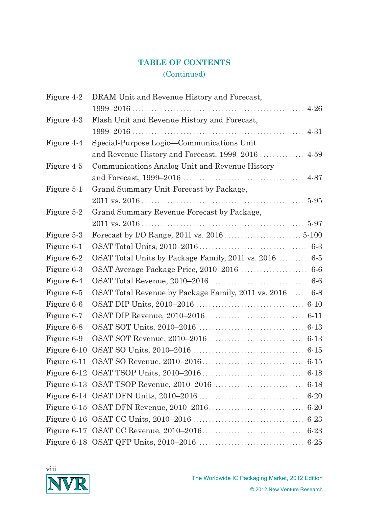| Figure 4-2  | DRAM Unit and Revenue History and Forecast,              |
|-------------|----------------------------------------------------------|
|             |                                                          |
| Figure 4-3  | Flash Unit and Revenue History and Forecast,             |
|             |                                                          |
| Figure 4-4  | Special-Purpose Logic—Communications Unit                |
|             | and Revenue History and Forecast, 1999–2016  4-59        |
| Figure 4-5  | Communications Analog Unit and Revenue History           |
|             |                                                          |
| Figure 5-1  | Grand Summary Unit Forecast by Package,                  |
|             |                                                          |
| Figure 5-2  | Grand Summary Revenue Forecast by Package,               |
|             |                                                          |
| Figure 5-3  |                                                          |
| Figure 6-1  |                                                          |
| Figure 6-2  | OSAT Total Units by Package Family, 2011 vs. 2016  6-5   |
| Figure 6-3  |                                                          |
| Figure 6-4  |                                                          |
| Figure 6-5  | OSAT Total Revenue by Package Family, 2011 vs. 2016  6-8 |
| Figure 6-6  |                                                          |
| Figure 6-7  |                                                          |
| Figure 6-8  |                                                          |
| Figure 6-9  |                                                          |
| Figure 6-10 |                                                          |
| Figure 6-11 |                                                          |
|             |                                                          |
|             |                                                          |
|             |                                                          |
|             |                                                          |
|             |                                                          |
|             |                                                          |
|             |                                                          |

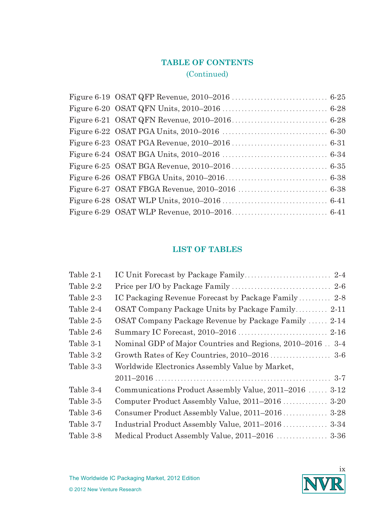# (Continued)

#### **LIST OF TABLES**

| Table 2-1 |                                                             |
|-----------|-------------------------------------------------------------|
| Table 2-2 |                                                             |
| Table 2-3 | IC Packaging Revenue Forecast by Package Family  2-8        |
| Table 2-4 | OSAT Company Package Units by Package Family 2-11           |
| Table 2-5 | OSAT Company Package Revenue by Package Family  2-14        |
| Table 2-6 |                                                             |
| Table 3-1 | Nominal GDP of Major Countries and Regions, 2010–2016 . 3-4 |
| Table 3-2 |                                                             |
| Table 3-3 | Worldwide Electronics Assembly Value by Market,             |
|           |                                                             |
| Table 3-4 | Communications Product Assembly Value, 2011–2016<br>$3-12$  |
| Table 3-5 | Computer Product Assembly Value, 2011–2016<br>$3 - 20$      |
| Table 3-6 | Consumer Product Assembly Value, 2011–2016<br>$3-28$        |
| Table 3-7 |                                                             |
| Table 3-8 | Medical Product Assembly Value, 2011-2016  3-36             |

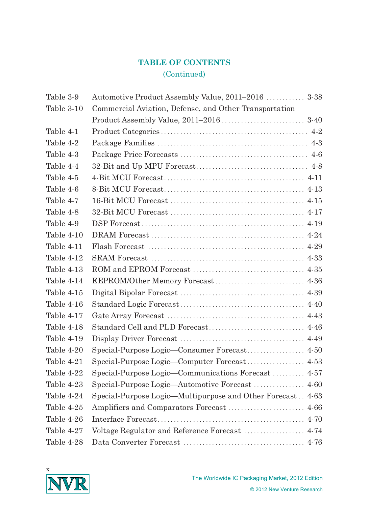| Table 3-9  | Automotive Product Assembly Value, 2011–2016  3-38         |  |
|------------|------------------------------------------------------------|--|
| Table 3-10 | Commercial Aviation, Defense, and Other Transportation     |  |
|            |                                                            |  |
| Table 4-1  |                                                            |  |
| Table 4-2  |                                                            |  |
| Table 4-3  |                                                            |  |
| Table 4-4  |                                                            |  |
| Table 4-5  |                                                            |  |
| Table 4-6  |                                                            |  |
| Table 4-7  |                                                            |  |
| Table 4-8  |                                                            |  |
| Table 4-9  |                                                            |  |
| Table 4-10 |                                                            |  |
| Table 4-11 |                                                            |  |
| Table 4-12 |                                                            |  |
| Table 4-13 |                                                            |  |
| Table 4-14 |                                                            |  |
| Table 4-15 |                                                            |  |
| Table 4-16 |                                                            |  |
| Table 4-17 |                                                            |  |
| Table 4-18 | Standard Cell and PLD Forecast 4-46                        |  |
| Table 4-19 |                                                            |  |
| Table 4-20 |                                                            |  |
| Table 4-21 | Special-Purpose Logic-Computer Forecast 4-53               |  |
| Table 4-22 | Special-Purpose Logic—Communications Forecast  4-57        |  |
| Table 4-23 | Special-Purpose Logic—Automotive Forecast  4-60            |  |
| Table 4-24 | Special-Purpose Logic-Multipurpose and Other Forecast 4-63 |  |
| Table 4-25 |                                                            |  |
| Table 4-26 |                                                            |  |
| Table 4-27 | Voltage Regulator and Reference Forecast  4-74             |  |
| Table 4-28 |                                                            |  |

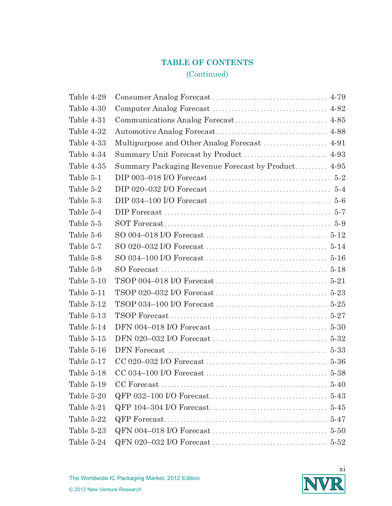| Table 4-29 |                                                    |
|------------|----------------------------------------------------|
| Table 4-30 |                                                    |
| Table 4-31 |                                                    |
| Table 4-32 |                                                    |
| Table 4-33 | Multipurpose and Other Analog Forecast  4-91       |
| Table 4-34 | Summary Unit Forecast by Product  4-93             |
| Table 4-35 | Summary Packaging Revenue Forecast by Product 4-95 |
| Table 5-1  |                                                    |
| Table 5-2  |                                                    |
| Table 5-3  |                                                    |
| Table 5-4  |                                                    |
| Table 5-5  |                                                    |
| Table 5-6  |                                                    |
| Table 5-7  |                                                    |
| Table 5-8  |                                                    |
| Table 5-9  |                                                    |
| Table 5-10 |                                                    |
| Table 5-11 |                                                    |
| Table 5-12 |                                                    |
| Table 5-13 |                                                    |
| Table 5-14 |                                                    |
| Table 5-15 |                                                    |
| Table 5-16 |                                                    |
| Table 5-17 |                                                    |
| Table 5-18 |                                                    |
| Table 5-19 |                                                    |
| Table 5-20 |                                                    |
| Table 5-21 |                                                    |
| Table 5-22 |                                                    |
| Table 5-23 |                                                    |
| Table 5-24 |                                                    |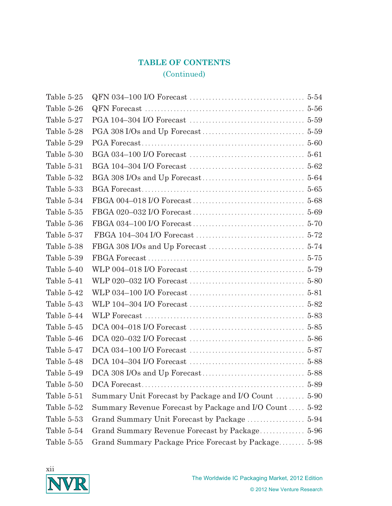| Table 5-25 |                                                      |        |
|------------|------------------------------------------------------|--------|
| Table 5-26 |                                                      |        |
| Table 5-27 |                                                      |        |
| Table 5-28 |                                                      |        |
| Table 5-29 |                                                      |        |
| Table 5-30 |                                                      |        |
| Table 5-31 |                                                      |        |
| Table 5-32 |                                                      |        |
| Table 5-33 |                                                      |        |
| Table 5-34 |                                                      |        |
| Table 5-35 |                                                      |        |
| Table 5-36 |                                                      |        |
| Table 5-37 |                                                      |        |
| Table 5-38 |                                                      |        |
| Table 5-39 |                                                      |        |
| Table 5-40 |                                                      |        |
| Table 5-41 |                                                      |        |
| Table 5-42 |                                                      |        |
| Table 5-43 |                                                      |        |
| Table 5-44 |                                                      |        |
| Table 5-45 |                                                      |        |
| Table 5-46 |                                                      |        |
| Table 5-47 |                                                      |        |
| Table 5-48 |                                                      |        |
| Table 5-49 |                                                      |        |
| Table 5-50 |                                                      |        |
| Table 5-51 | Summary Unit Forecast by Package and I/O Count       | $5-90$ |
| Table 5-52 | Summary Revenue Forecast by Package and I/O Count    | 5-92   |
| Table 5-53 | Grand Summary Unit Forecast by Package               | 5-94   |
| Table 5-54 | Grand Summary Revenue Forecast by Package            | 5-96   |
| Table 5-55 | Grand Summary Package Price Forecast by Package 5-98 |        |

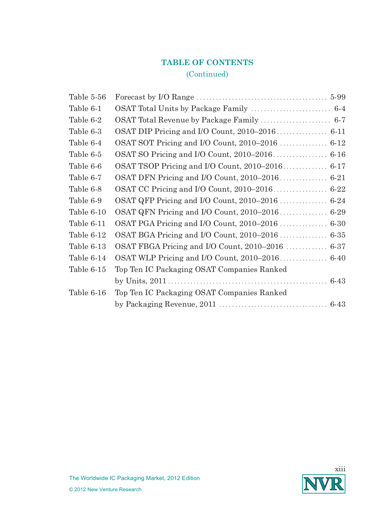| Table 5-56 |                                                 |          |
|------------|-------------------------------------------------|----------|
| Table 6-1  |                                                 |          |
| Table 6-2  |                                                 |          |
| Table 6-3  |                                                 |          |
| Table 6-4  |                                                 |          |
| Table 6-5  |                                                 |          |
| Table 6-6  |                                                 |          |
| Table 6-7  |                                                 |          |
| Table 6-8  |                                                 |          |
| Table 6-9  | OSAT QFP Pricing and I/O Count, 2010–2016  6-24 |          |
| Table 6-10 |                                                 |          |
| Table 6-11 |                                                 |          |
| Table 6-12 |                                                 |          |
| Table 6-13 |                                                 |          |
| Table 6-14 |                                                 |          |
| Table 6-15 | Top Ten IC Packaging OSAT Companies Ranked      |          |
|            |                                                 | $6 - 43$ |
| Table 6-16 | Top Ten IC Packaging OSAT Companies Ranked      |          |
|            |                                                 |          |
|            |                                                 |          |

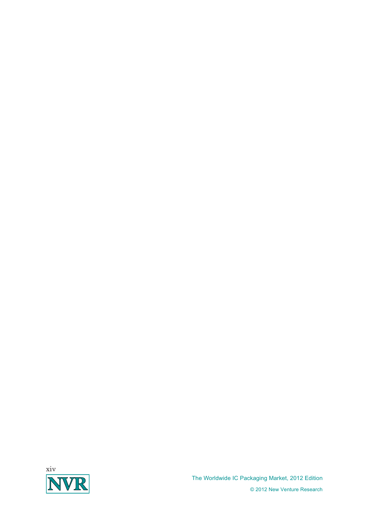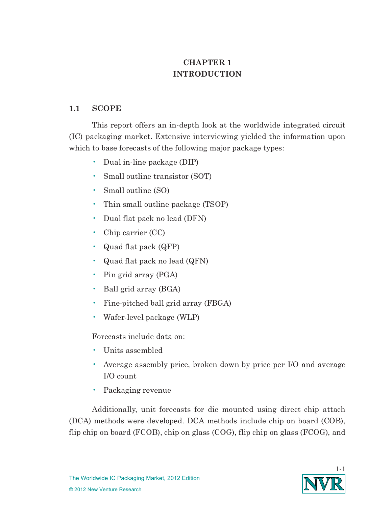# **CHAPTER 1 INTRODUCTION**

#### 1.1 **SCOPE**

This report offers an in-depth look at the worldwide integrated circuit (IC) packaging market. Extensive interviewing yielded the information upon which to base forecasts of the following major package types:

- Dual in-line package (DIP)
- Small outline transistor (SOT)
- Small outline (SO)
- Thin small outline package (TSOP)
- Dual flat pack no lead (DFN)
- Chip carrier (CC)
- Quad flat pack (QFP)
- Quad flat pack no lead (QFN)
- Pin grid array (PGA)
- Ball grid array (BGA)
- Fine-pitched ball grid array (FBGA)
- Wafer-level package (WLP)

Forecasts include data on:

- Units assembled
- Average assembly price, broken down by price per I/O and average I/O count
- Packaging revenue

Additionally, unit forecasts for die mounted using direct chip attach (DCA) methods were developed. DCA methods include chip on board (COB), flip chip on board (FCOB), chip on glass (COG), flip chip on glass (FCOG), and

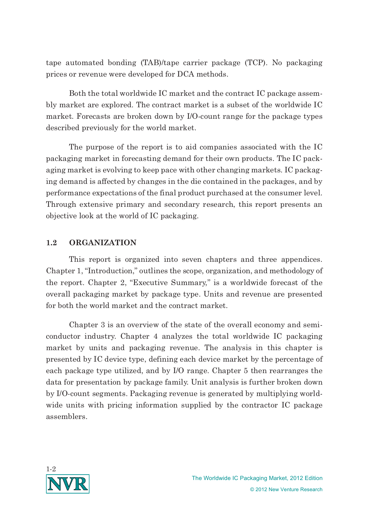tape automated bonding (TAB)/tape carrier package (TCP). No packaging prices or revenue were developed for DCA methods.

Both the total worldwide IC market and the contract IC package assembly market are explored. The contract market is a subset of the worldwide IC market. Forecasts are broken down by I/O-count range for the package types described previously for the world market.

The purpose of the report is to aid companies associated with the IC packaging market in forecasting demand for their own products. The IC packaging market is evolving to keep pace with other changing markets. IC packaging demand is affected by changes in the die contained in the packages, and by performance expectations of the final product purchased at the consumer level. Through extensive primary and secondary research, this report presents an objective look at the world of IC packaging.

#### 1.2 **ORGANIZATION**

This report is organized into seven chapters and three appendices. Chapter 1, "Introduction," outlines the scope, organization, and methodology of the report. Chapter 2, "Executive Summary," is a worldwide forecast of the overall packaging market by package type. Units and revenue are presented for both the world market and the contract market.

Chapter 3 is an overview of the state of the overall economy and semiconductor industry. Chapter 4 analyzes the total worldwide IC packaging market by units and packaging revenue. The analysis in this chapter is presented by IC device type, defining each device market by the percentage of each package type utilized, and by I/O range. Chapter 5 then rearranges the data for presentation by package family. Unit analysis is further broken down by I/O-count segments. Packaging revenue is generated by multiplying worldwide units with pricing information supplied by the contractor IC package assemblers.

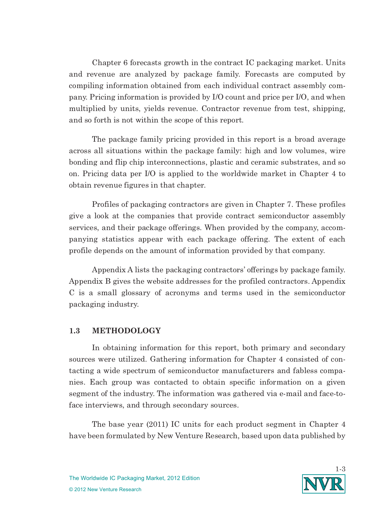Chapter 6 forecasts growth in the contract IC packaging market. Units and revenue are analyzed by package family. Forecasts are computed by compiling information obtained from each individual contract assembly company. Pricing information is provided by I/O count and price per I/O, and when multiplied by units, yields revenue. Contractor revenue from test, shipping, and so forth is not within the scope of this report.

The package family pricing provided in this report is a broad average across all situations within the package family: high and low volumes, wire bonding and flip chip interconnections, plastic and ceramic substrates, and so on. Pricing data per I/O is applied to the worldwide market in Chapter 4 to obtain revenue figures in that chapter.

Profiles of packaging contractors are given in Chapter 7. These profiles give a look at the companies that provide contract semiconductor assembly services, and their package offerings. When provided by the company, accompanying statistics appear with each package offering. The extent of each profile depends on the amount of information provided by that company.

Appendix A lists the packaging contractors' offerings by package family. Appendix B gives the website addresses for the profiled contractors. Appendix C is a small glossary of acronyms and terms used in the semiconductor packaging industry.

#### 1.3 METHODOLOGY

In obtaining information for this report, both primary and secondary sources were utilized. Gathering information for Chapter 4 consisted of contacting a wide spectrum of semiconductor manufacturers and fabless companies. Each group was contacted to obtain specific information on a given segment of the industry. The information was gathered via e-mail and face-toface interviews, and through secondary sources.

The base year (2011) IC units for each product segment in Chapter 4 have been formulated by New Venture Research, based upon data published by

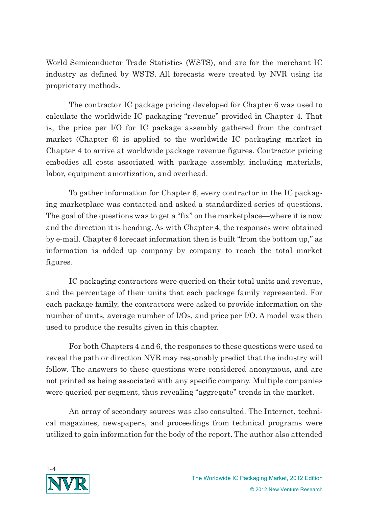World Semiconductor Trade Statistics (WSTS), and are for the merchant IC industry as defined by WSTS. All forecasts were created by NVR using its proprietary methods.

The contractor IC package pricing developed for Chapter 6 was used to calculate the worldwide IC packaging "revenue" provided in Chapter 4. That is, the price per I/O for IC package assembly gathered from the contract market (Chapter 6) is applied to the worldwide IC packaging market in Chapter 4 to arrive at worldwide package revenue figures. Contractor pricing embodies all costs associated with package assembly, including materials, labor, equipment amortization, and overhead.

To gather information for Chapter 6, every contractor in the IC packaging marketplace was contacted and asked a standardized series of questions. The goal of the questions was to get a "fix" on the marketplace—where it is now and the direction it is heading. As with Chapter 4, the responses were obtained by e-mail. Chapter 6 forecast information then is built "from the bottom up," as information is added up company by company to reach the total market figures.

IC packaging contractors were queried on their total units and revenue, and the percentage of their units that each package family represented. For each package family, the contractors were asked to provide information on the number of units, average number of I/Os, and price per I/O. A model was then used to produce the results given in this chapter.

For both Chapters 4 and 6, the responses to these questions were used to reveal the path or direction NVR may reasonably predict that the industry will follow. The answers to these questions were considered anonymous, and are not printed as being associated with any specific company. Multiple companies were queried per segment, thus revealing "aggregate" trends in the market.

An array of secondary sources was also consulted. The Internet, technical magazines, newspapers, and proceedings from technical programs were utilized to gain information for the body of the report. The author also attended